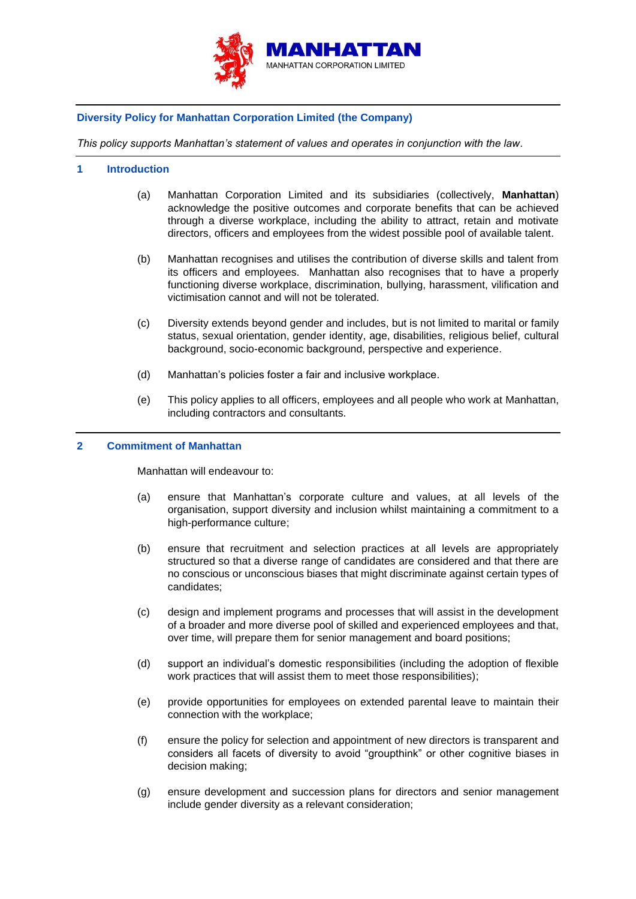

## **Diversity Policy for Manhattan Corporation Limited (the Company)**

*This policy supports Manhattan's statement of values and operates in conjunction with the law.*

## **1 Introduction**

- (a) Manhattan Corporation Limited and its subsidiaries (collectively, **Manhattan**) acknowledge the positive outcomes and corporate benefits that can be achieved through a diverse workplace, including the ability to attract, retain and motivate directors, officers and employees from the widest possible pool of available talent.
- (b) Manhattan recognises and utilises the contribution of diverse skills and talent from its officers and employees. Manhattan also recognises that to have a properly functioning diverse workplace, discrimination, bullying, harassment, vilification and victimisation cannot and will not be tolerated.
- (c) Diversity extends beyond gender and includes, but is not limited to marital or family status, sexual orientation, gender identity, age, disabilities, religious belief, cultural background, socio-economic background, perspective and experience.
- (d) Manhattan's policies foster a fair and inclusive workplace.
- (e) This policy applies to all officers, employees and all people who work at Manhattan, including contractors and consultants.

## **2 Commitment of Manhattan**

Manhattan will endeavour to:

- (a) ensure that Manhattan's corporate culture and values, at all levels of the organisation, support diversity and inclusion whilst maintaining a commitment to a high-performance culture;
- (b) ensure that recruitment and selection practices at all levels are appropriately structured so that a diverse range of candidates are considered and that there are no conscious or unconscious biases that might discriminate against certain types of candidates;
- (c) design and implement programs and processes that will assist in the development of a broader and more diverse pool of skilled and experienced employees and that, over time, will prepare them for senior management and board positions;
- (d) support an individual's domestic responsibilities (including the adoption of flexible work practices that will assist them to meet those responsibilities);
- (e) provide opportunities for employees on extended parental leave to maintain their connection with the workplace;
- (f) ensure the policy for selection and appointment of new directors is transparent and considers all facets of diversity to avoid "groupthink" or other cognitive biases in decision making;
- (g) ensure development and succession plans for directors and senior management include gender diversity as a relevant consideration;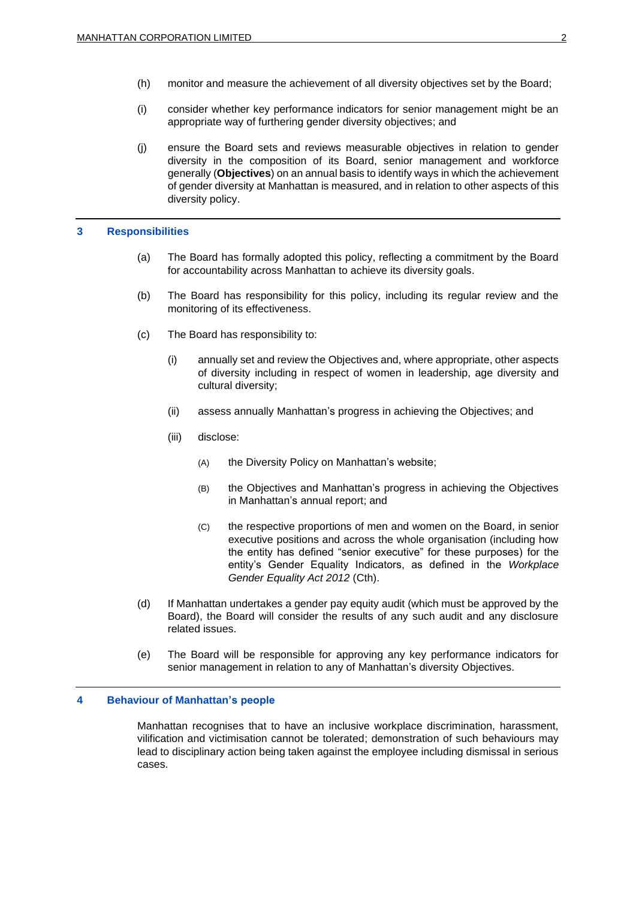- (h) monitor and measure the achievement of all diversity objectives set by the Board;
- (i) consider whether key performance indicators for senior management might be an appropriate way of furthering gender diversity objectives; and
- (j) ensure the Board sets and reviews measurable objectives in relation to gender diversity in the composition of its Board, senior management and workforce generally (**Objectives**) on an annual basis to identify ways in which the achievement of gender diversity at Manhattan is measured, and in relation to other aspects of this diversity policy.

#### **3 Responsibilities**

- (a) The Board has formally adopted this policy, reflecting a commitment by the Board for accountability across Manhattan to achieve its diversity goals.
- (b) The Board has responsibility for this policy, including its regular review and the monitoring of its effectiveness.
- (c) The Board has responsibility to:
	- (i) annually set and review the Objectives and, where appropriate, other aspects of diversity including in respect of women in leadership, age diversity and cultural diversity;
	- (ii) assess annually Manhattan's progress in achieving the Objectives; and
	- (iii) disclose:
		- (A) the Diversity Policy on Manhattan's website;
		- (B) the Objectives and Manhattan's progress in achieving the Objectives in Manhattan's annual report; and
		- (C) the respective proportions of men and women on the Board, in senior executive positions and across the whole organisation (including how the entity has defined "senior executive" for these purposes) for the entity's Gender Equality Indicators, as defined in the *Workplace Gender Equality Act 2012* (Cth).
- (d) If Manhattan undertakes a gender pay equity audit (which must be approved by the Board), the Board will consider the results of any such audit and any disclosure related issues.
- (e) The Board will be responsible for approving any key performance indicators for senior management in relation to any of Manhattan's diversity Objectives.

### **4 Behaviour of Manhattan's people**

Manhattan recognises that to have an inclusive workplace discrimination, harassment, vilification and victimisation cannot be tolerated; demonstration of such behaviours may lead to disciplinary action being taken against the employee including dismissal in serious cases.